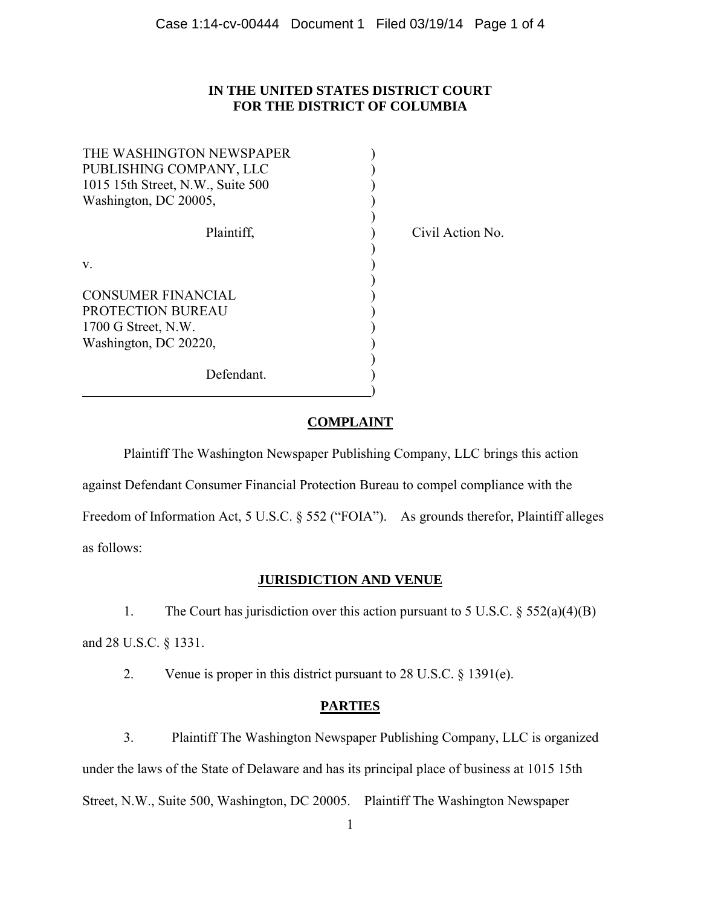### **IN THE UNITED STATES DISTRICT COURT FOR THE DISTRICT OF COLUMBIA**

| THE WASHINGTON NEWSPAPER<br>PUBLISHING COMPANY, LLC<br>1015 15th Street, N.W., Suite 500<br>Washington, DC 20005, |  |
|-------------------------------------------------------------------------------------------------------------------|--|
| Plaintiff,                                                                                                        |  |
| V.                                                                                                                |  |
| <b>CONSUMER FINANCIAL</b><br><b>PROTECTION BUREAU</b><br>1700 G Street, N.W.<br>Washington, DC 20220,             |  |
| Defendant.                                                                                                        |  |

 $\hspace{1.5cm}$  ) and the contract of the contract of the contract of the contract of the contract of the contract of the contract of the contract of the contract of the contract of the contract of the contract of the contrac

Civil Action No.

# **COMPLAINT**

 Plaintiff The Washington Newspaper Publishing Company, LLC brings this action against Defendant Consumer Financial Protection Bureau to compel compliance with the Freedom of Information Act, 5 U.S.C. § 552 ("FOIA"). As grounds therefor, Plaintiff alleges as follows:

## **JURISDICTION AND VENUE**

 1. The Court has jurisdiction over this action pursuant to 5 U.S.C. § 552(a)(4)(B) and 28 U.S.C. § 1331.

2. Venue is proper in this district pursuant to 28 U.S.C. § 1391(e).

# **PARTIES**

 3. Plaintiff The Washington Newspaper Publishing Company, LLC is organized under the laws of the State of Delaware and has its principal place of business at 1015 15th Street, N.W., Suite 500, Washington, DC 20005. Plaintiff The Washington Newspaper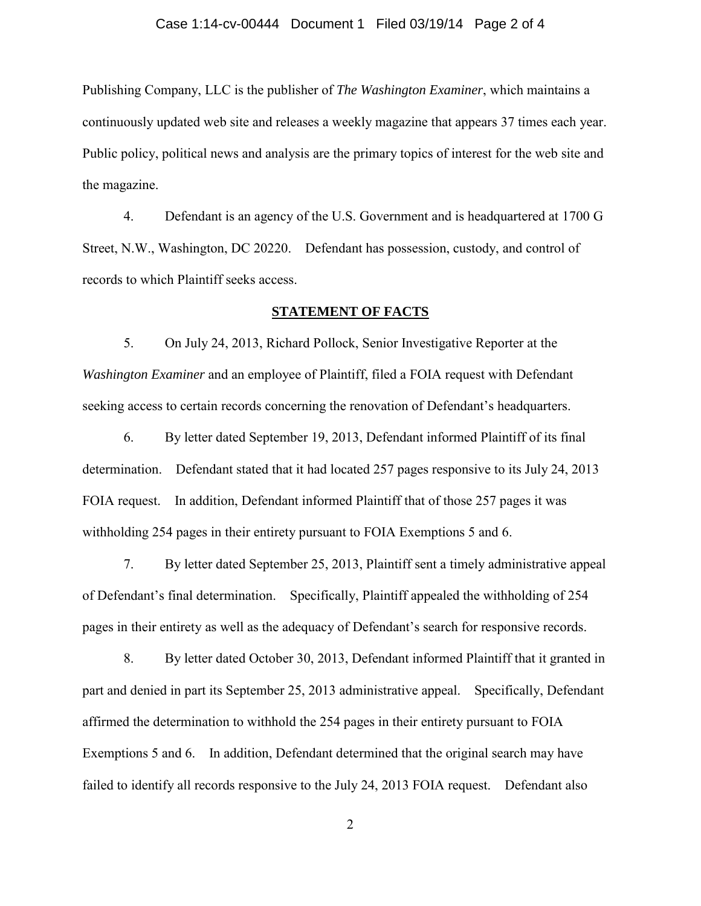#### Case 1:14-cv-00444 Document 1 Filed 03/19/14 Page 2 of 4

Publishing Company, LLC is the publisher of *The Washington Examiner*, which maintains a continuously updated web site and releases a weekly magazine that appears 37 times each year. Public policy, political news and analysis are the primary topics of interest for the web site and the magazine.

 4. Defendant is an agency of the U.S. Government and is headquartered at 1700 G Street, N.W., Washington, DC 20220. Defendant has possession, custody, and control of records to which Plaintiff seeks access.

#### **STATEMENT OF FACTS**

 5. On July 24, 2013, Richard Pollock, Senior Investigative Reporter at the *Washington Examiner* and an employee of Plaintiff, filed a FOIA request with Defendant seeking access to certain records concerning the renovation of Defendant's headquarters.

 6. By letter dated September 19, 2013, Defendant informed Plaintiff of its final determination. Defendant stated that it had located 257 pages responsive to its July 24, 2013 FOIA request. In addition, Defendant informed Plaintiff that of those 257 pages it was withholding 254 pages in their entirety pursuant to FOIA Exemptions 5 and 6.

 7. By letter dated September 25, 2013, Plaintiff sent a timely administrative appeal of Defendant's final determination. Specifically, Plaintiff appealed the withholding of 254 pages in their entirety as well as the adequacy of Defendant's search for responsive records.

 8. By letter dated October 30, 2013, Defendant informed Plaintiff that it granted in part and denied in part its September 25, 2013 administrative appeal. Specifically, Defendant affirmed the determination to withhold the 254 pages in their entirety pursuant to FOIA Exemptions 5 and 6. In addition, Defendant determined that the original search may have failed to identify all records responsive to the July 24, 2013 FOIA request. Defendant also

2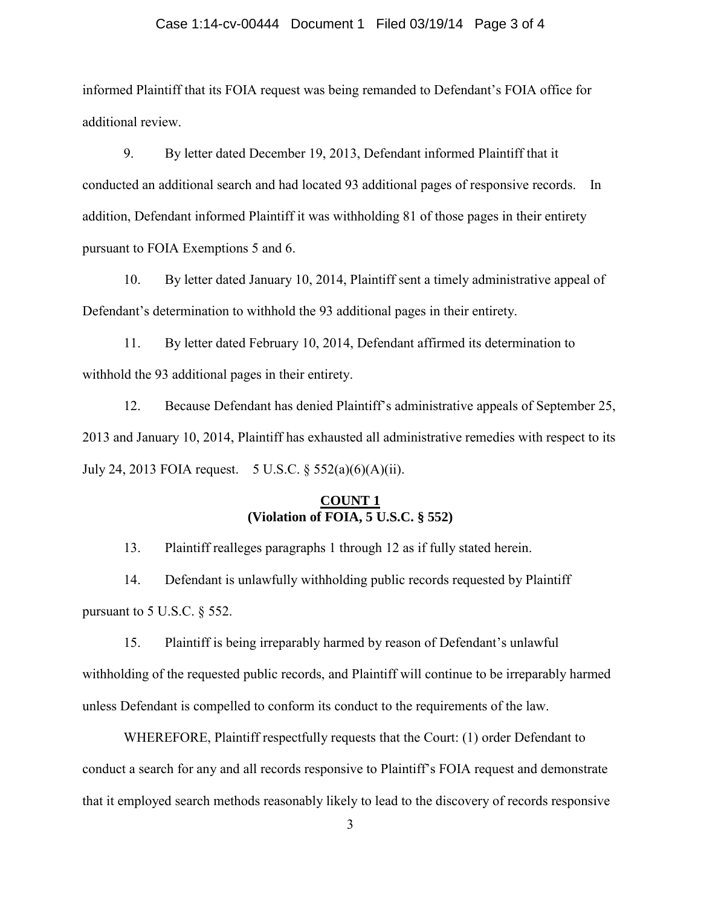#### Case 1:14-cv-00444 Document 1 Filed 03/19/14 Page 3 of 4

informed Plaintiff that its FOIA request was being remanded to Defendant's FOIA office for additional review.

 9. By letter dated December 19, 2013, Defendant informed Plaintiff that it conducted an additional search and had located 93 additional pages of responsive records. In addition, Defendant informed Plaintiff it was withholding 81 of those pages in their entirety pursuant to FOIA Exemptions 5 and 6.

 10. By letter dated January 10, 2014, Plaintiff sent a timely administrative appeal of Defendant's determination to withhold the 93 additional pages in their entirety.

 11. By letter dated February 10, 2014, Defendant affirmed its determination to withhold the 93 additional pages in their entirety.

 12. Because Defendant has denied Plaintiff's administrative appeals of September 25, 2013 and January 10, 2014, Plaintiff has exhausted all administrative remedies with respect to its July 24, 2013 FOIA request. 5 U.S.C. § 552(a)(6)(A)(ii).

### **COUNT 1 (Violation of FOIA, 5 U.S.C. § 552)**

13. Plaintiff realleges paragraphs 1 through 12 as if fully stated herein.

 14. Defendant is unlawfully withholding public records requested by Plaintiff pursuant to 5 U.S.C. § 552.

 15. Plaintiff is being irreparably harmed by reason of Defendant's unlawful withholding of the requested public records, and Plaintiff will continue to be irreparably harmed unless Defendant is compelled to conform its conduct to the requirements of the law.

 WHEREFORE, Plaintiff respectfully requests that the Court: (1) order Defendant to conduct a search for any and all records responsive to Plaintiff's FOIA request and demonstrate that it employed search methods reasonably likely to lead to the discovery of records responsive